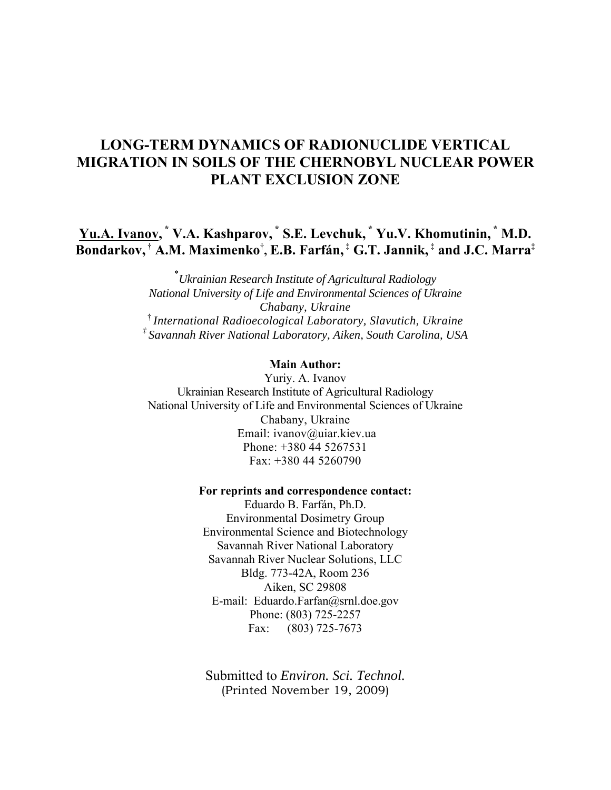# **LONG-TERM DYNAMICS OF RADIONUCLIDE VERTICAL MIGRATION IN SOILS OF THE CHERNOBYL NUCLEAR POWER PLANT EXCLUSION ZONE**

**Yu.A. Ivanov, \* V.A. Kashparov, \* S.E. Levchuk, \* Yu.V. Khomutinin, \* M.D. Bondarkov, † А.М. Maximenko† , E.B. Farfán, ‡ G.T. Jannik, ‡ and J.C. Marra‡** 

> \* *Ukrainian Research Institute of Agricultural Radiology National University of Life and Environmental Sciences of Ukraine Chabany, Ukraine*  † *International Radioecological Laboratory, Slavutich, Ukraine ‡ Savannah River National Laboratory, Aiken, South Carolina, USA*

### **Main Author:**

Yuriy. A. Ivanov Ukrainian Research Institute of Agricultural Radiology National University of Life and Environmental Sciences of Ukraine Chabany, Ukraine Email: ivanov@uiar.kiev.ua Phone: +380 44 5267531 Fax: +380 44 5260790

### **For reprints and correspondence contact:**

Eduardo B. Farfán, Ph.D. Environmental Dosimetry Group Environmental Science and Biotechnology Savannah River National Laboratory Savannah River Nuclear Solutions, LLC Bldg. 773-42A, Room 236 Aiken, SC 29808 E-mail: Eduardo.Farfan@srnl.doe.gov Phone: (803) 725-2257 Fax: (803) 725-7673

Submitted to *Environ. Sci. Technol.* (Printed November 19, 2009)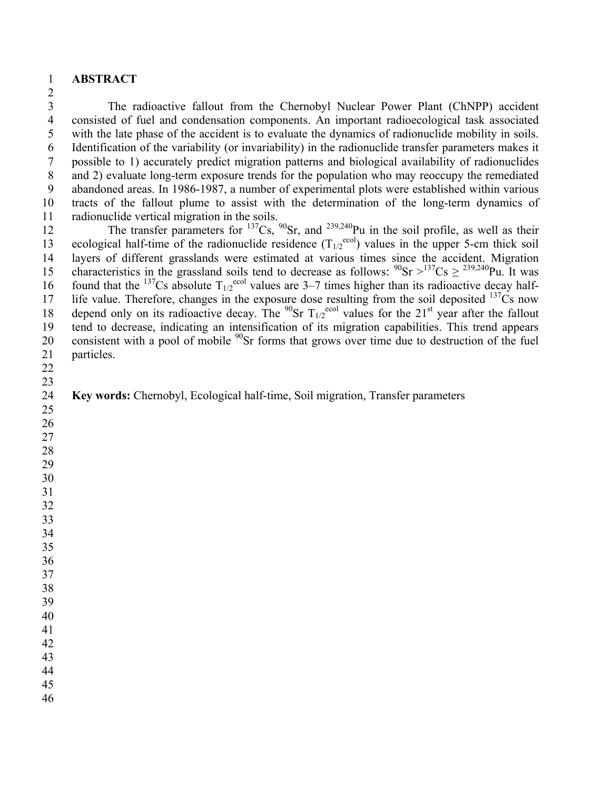### **ABSTRACT**

3 The radioactive fallout from the Chernobyl Nuclear Power Plant (ChNPP) accident 4 consisted of fuel and condensation components. An important radioecological task associated 5 with the late phase of the accident is to evaluate the dynamics of radionuclide mobility in soils. 6 Identification of the variability (or invariability) in the radionuclide transfer parameters makes it 7 possible to 1) accurately predict migration patterns and biological availability of radionuclides 8 and 2) evaluate long-term exposure trends for the population who may reoccupy the remediated 9 abandoned areas. In 1986-1987, a number of experimental plots were established within various 10 tracts of the fallout plume to assist with the determination of the long-term dynamics of 11 radionuclide vertical migration in the soils.

12 The transfer parameters for  $^{137}Cs$ ,  $^{90}Sr$ , and  $^{239,240}Pu$  in the soil profile, as well as their 13 ecological half-time of the radionuclide residence  $(T_{1/2}^{e\text{col}})$  values in the upper 5-cm thick soil 14 layers of different grasslands were estimated at various times since the accident. Migration 15 characteristics in the grassland soils tend to decrease as follows:  $^{90}Sr > ^{137}Cs \geq ^{239,240}Pu$ . It was 16 found that the <sup>137</sup>Cs absolute  $T_{1/2}^{\text{ecol}}$  values are 3–7 times higher than its radioactive decay half-17 life value. Therefore, changes in the exposure dose resulting from the soil deposited Cs now 18 depend only on its radioactive decay. The <sup>90</sup>Sr  $T_{1/2}$ <sup>ecol</sup> values for the 21<sup>st</sup> year after the fallout 19 tend to decrease, indicating an intensification of its migration capabilities. This trend appears 20 consistent with a pool of mobile <sup>90</sup>Sr forms that grows over time due to destruction of the fuel 21 particles.

 

**Key words:** Chernobyl, Ecological half-time, Soil migration, Transfer parameters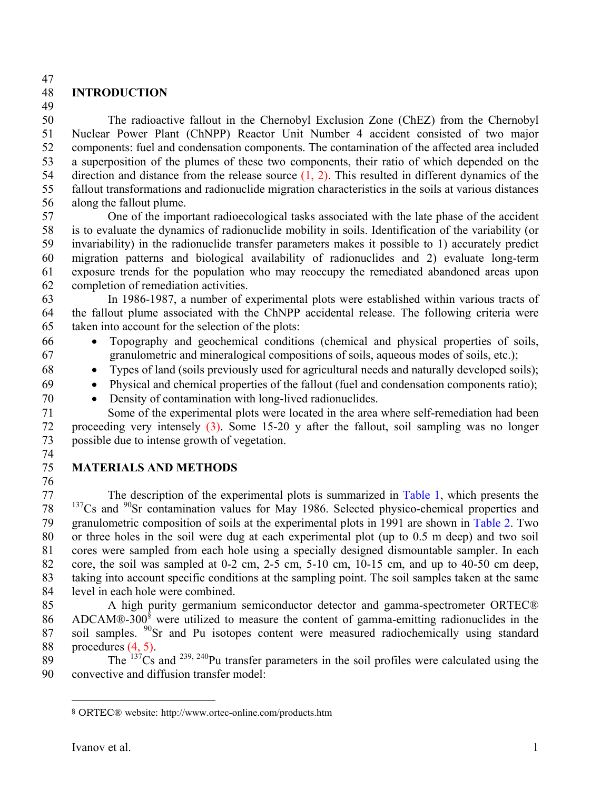47

## 48 **INTRODUCTION**

49

50 The radioactive fallout in the Chernobyl Exclusion Zone (ChEZ) from the Chernobyl 51 Nuclear Power Plant (ChNPP) Reactor Unit Number 4 accident consisted of two major 52 components: fuel and condensation components. The contamination of the affected area included 53 a superposition of the plumes of these two components, their ratio of which depended on the 54 direction and distance from the release source (1, 2). This resulted in different dynamics of the 55 fallout transformations and radionuclide migration characteristics in the soils at various distances 56 along the fallout plume.

57 One of the important radioecological tasks associated with the late phase of the accident 58 is to evaluate the dynamics of radionuclide mobility in soils. Identification of the variability (or 59 invariability) in the radionuclide transfer parameters makes it possible to 1) accurately predict 60 migration patterns and biological availability of radionuclides and 2) evaluate long-term 61 exposure trends for the population who may reoccupy the remediated abandoned areas upon 62 completion of remediation activities.

63 In 1986-1987, a number of experimental plots were established within various tracts of 64 the fallout plume associated with the ChNPP accidental release. The following criteria were 65 taken into account for the selection of the plots:

- 66 Topography and geochemical conditions (chemical and physical properties of soils, 67 granulometric and mineralogical compositions of soils, aqueous modes of soils, etc.);
- 68 Types of land (soils previously used for agricultural needs and naturally developed soils);
- 69 Physical and chemical properties of the fallout (fuel and condensation components ratio);
- 70 Density of contamination with long-lived radionuclides.

71 Some of the experimental plots were located in the area where self-remediation had been 72 proceeding very intensely (3). Some 15-20 y after the fallout, soil sampling was no longer 73 possible due to intense growth of vegetation.

- 74
- 76

## 75 **MATERIALS AND METHODS**

77 The description of the experimental plots is summarized in Table 1, which presents the  $137$ Cs and  $90$ Sr contamination values for May 1986. Selected physico-chemical properties and 79 granulometric composition of soils at the experimental plots in 1991 are shown in Table 2. Two 80 or three holes in the soil were dug at each experimental plot (up to 0.5 m deep) and two soil 81 cores were sampled from each hole using a specially designed dismountable sampler. In each 82 core, the soil was sampled at 0-2 cm, 2-5 cm, 5-10 cm, 10-15 cm, and up to 40-50 cm deep, 83 taking into account specific conditions at the sampling point. The soil samples taken at the same 84 level in each hole were combined.

85 A high purity germanium semiconductor detector and gamma-spectrometer ORTEC® 86 ADCAM®-300 $\text{\textdegree}$  were utilized to measure the content of gamma-emitting radionuclides in the 87 soil samples.  $90$ Sr and Pu isotopes content were measured radiochemically using standard 88 procedures (4, 5).

 $89$  The  $137\text{Cs}$  and  $239, 240\text{Pu}$  transfer parameters in the soil profiles were calculated using the 90 convective and diffusion transfer model:

 $\overline{a}$ 

<sup>§</sup> ORTEC® website: http://www.ortec-online.com/products.htm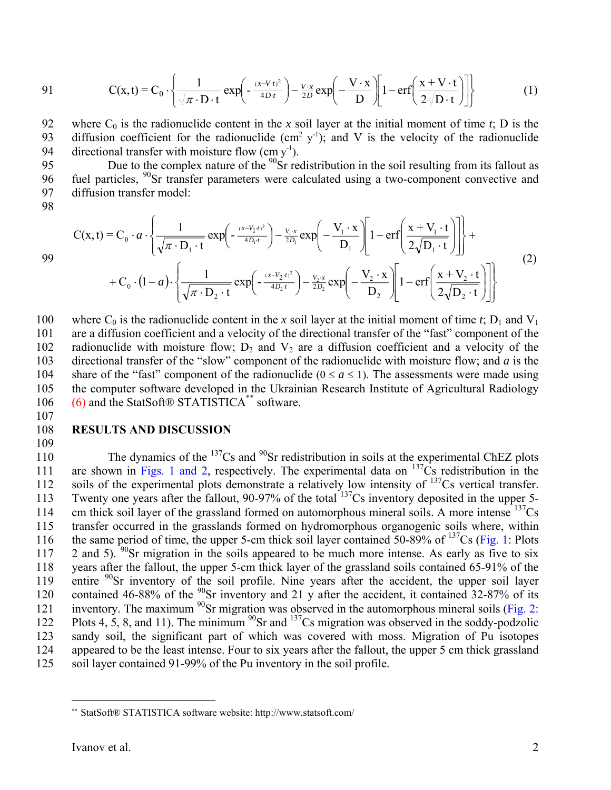91 
$$
C(x,t) = C_0 \cdot \left\{ \frac{1}{\sqrt{\pi \cdot D \cdot t}} \exp\left(-\frac{(x-Vt)^2}{4D \cdot t}\right) - \frac{V \cdot x}{2D} \exp\left(-\frac{V \cdot x}{D}\right) \left[1 - \text{erf}\left(\frac{x+V \cdot t}{2\sqrt{D \cdot t}}\right)\right] \right\}
$$
(1)

92 where  $C_0$  is the radionuclide content in the *x* soil layer at the initial moment of time *t*; D is the diffusion coefficient for the radionuclide  $(\text{cm}^2 \text{ y}^{-1})$ ; and V is the velocity of the radionuclide 93 diffusion coefficient for the radionuclide  $(cm^2 y^1)$ ; and V is the velocity of the radionuclide 94 directional transfer with moisture flow  $(cm y<sup>-1</sup>).$ 

95 Due to the complex nature of the  $90\text{Sr}$  redistribution in the soil resulting from its fallout as 96 fuel particles,  $\frac{90}{9}$ Sr transfer parameters were calculated using a two-component convective and 97 diffusion transfer model:

98

$$
C(x,t) = C_0 \cdot a \cdot \left\{ \frac{1}{\sqrt{\pi} \cdot D_1 \cdot t} \exp\left(-\frac{(x-V_1 \cdot t)^2}{4D_1 \cdot t}\right) - \frac{V_1 \cdot x}{2D_1} \exp\left(-\frac{V_1 \cdot x}{D_1}\right) \left[1 - \text{erf}\left(\frac{x + V_1 \cdot t}{2\sqrt{D_1 \cdot t}}\right)\right] \right\} + C_0 \cdot (1-a) \cdot \left\{ \frac{1}{\sqrt{\pi} \cdot D_2 \cdot t} \exp\left(-\frac{(x-V_2 \cdot t)^2}{4D_2 \cdot t}\right) - \frac{V_2 \cdot x}{2D_2} \exp\left(-\frac{V_2 \cdot x}{D_2}\right) \left[1 - \text{erf}\left(\frac{x + V_2 \cdot t}{2\sqrt{D_2 \cdot t}}\right)\right] \right\}
$$
(2)

100 where  $C_0$  is the radionuclide content in the *x* soil layer at the initial moment of time *t*;  $D_1$  and  $V_1$ 101 are a diffusion coefficient and a velocity of the directional transfer of the "fast" component of the 102 radionuclide with moisture flow;  $D_2$  and  $V_2$  are a diffusion coefficient and a velocity of the 103 directional transfer of the "slow" component of the radionuclide with moisture flow; and *a* is the 104 share of the "fast" component of the radionuclide ( $0 \le a \le 1$ ). The assessments were made using 105 the computer software developed in the Ukrainian Research Institute of Agricultural Radiology  $106$  (6) and the StatSoft® STATISTICA<sup>\*\*</sup> software.

107

### 108 **RESULTS AND DISCUSSION**  109

110 The dynamics of the  $137Cs$  and  $90Sr$  redistribution in soils at the experimental ChEZ plots 111 are shown in Figs. 1 and 2, respectively. The experimental data on  $137\text{Cs}$  redistribution in the  $112$  soils of the experimental plots demonstrate a relatively low intensity of  $137Cs$  vertical transfer. 113 Twenty one years after the fallout, 90-97% of the total <sup>137</sup>Cs inventory deposited in the upper 5-114 cm thick soil layer of the grassland formed on automorphous mineral soils. A more intense  $137Cs$ 115 transfer occurred in the grasslands formed on hydromorphous organogenic soils where, within 116 the same period of time, the upper 5-cm thick soil layer contained  $50-89\%$  of  $137$ Cs (Fig. 1: Plots 117 2 and 5). <sup>90</sup> Sr migration in the soils appeared to be much more intense. As early as five to six 118 years after the fallout, the upper 5-cm thick layer of the grassland soils contained 65-91% of the 119 entire  $90$ Sr inventory of the soil profile. Nine years after the accident, the upper soil layer 120 contained 46-88% of the  $^{90}$ Sr inventory and 21 y after the accident, it contained 32-87% of its 121 inventory. The maximum  $^{90}$ Sr migration was observed in the automorphous mineral soils (Fig. 2: 122 Plots 4, 5, 8, and 11). The minimum  $^{90}$ Sr and  $^{137}$ Cs migration was observed in the soddy-podzolic 123 sandy soil, the significant part of which was covered with moss. Migration of Pu isotopes 124 appeared to be the least intense. Four to six years after the fallout, the upper 5 cm thick grassland 125 soil layer contained 91-99% of the Pu inventory in the soil profile.

 $\overline{a}$ 

<sup>\*\*</sup> StatSoft® STATISTICA software website: http://www.statsoft.com/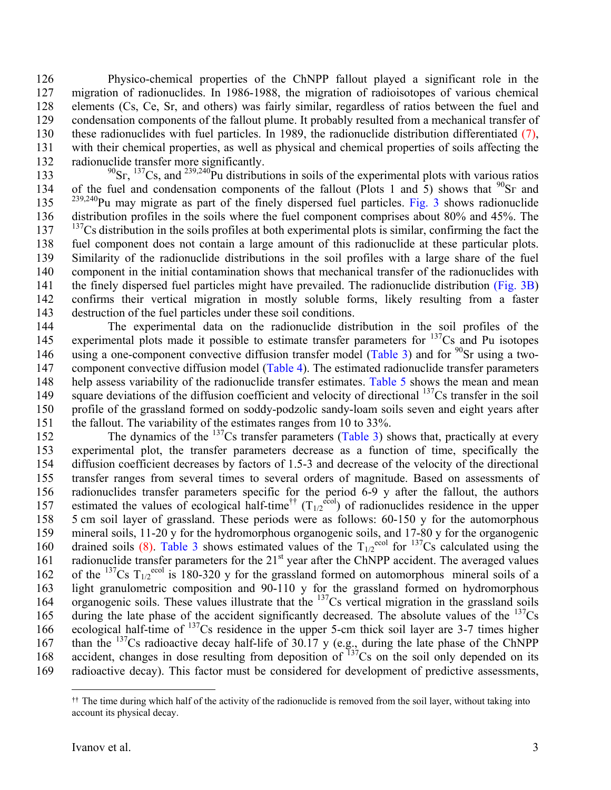126 Physico-chemical properties of the ChNPP fallout played a significant role in the 127 migration of radionuclides. In 1986-1988, the migration of radioisotopes of various chemical 128 elements (Сs, Се, Sr, and others) was fairly similar, regardless of ratios between the fuel and 129 condensation components of the fallout plume. It probably resulted from a mechanical transfer of 130 these radionuclides with fuel particles. In 1989, the radionuclide distribution differentiated (7), 131 with their chemical properties, as well as physical and chemical properties of soils affecting the 132 radionuclide transfer more significantly.

133  $^{90}$ Sr,  $^{137}$ Cs, and  $^{239,240}$ Pu distributions in soils of the experimental plots with various ratios 134 of the fuel and condensation components of the fallout (Plots 1 and 5) shows that  $^{90}Sr$  and  $2^{39,240}$ Pu may migrate as part of the finely dispersed fuel particles. Fig. 3 shows radionuclide 136 distribution profiles in the soils where the fuel component comprises about 80% and 45%. The  $137$   $137$  Cs distribution in the soils profiles at both experimental plots is similar, confirming the fact the 138 fuel component does not contain a large amount of this radionuclide at these particular plots. 139 Similarity of the radionuclide distributions in the soil profiles with a large share of the fuel 140 component in the initial contamination shows that mechanical transfer of the radionuclides with 141 the finely dispersed fuel particles might have prevailed. The radionuclide distribution (Fig. 3B) 142 confirms their vertical migration in mostly soluble forms, likely resulting from a faster 143 destruction of the fuel particles under these soil conditions.

144 The experimental data on the radionuclide distribution in the soil profiles of the 145 experimental plots made it possible to estimate transfer parameters for  $137Cs$  and Pu isotopes 146 using a one-component convective diffusion transfer model (Table 3) and for  $90$ Sr using a two-147 component convective diffusion model (Table 4). The estimated radionuclide transfer parameters 148 help assess variability of the radionuclide transfer estimates. Table 5 shows the mean and mean 149 square deviations of the diffusion coefficient and velocity of directional  $137Cs$  transfer in the soil 150 profile of the grassland formed on soddy-podzolic sandy-loam soils seven and eight years after 151 the fallout. The variability of the estimates ranges from 10 to 33%.

152 The dynamics of the  $137$ Cs transfer parameters (Table 3) shows that, practically at every 153 experimental plot, the transfer parameters decrease as a function of time, specifically the 154 diffusion coefficient decreases by factors of 1.5-3 and decrease of the velocity of the directional 155 transfer ranges from several times to several orders of magnitude. Based on assessments of 156 radionuclides transfer parameters specific for the period 6-9 y after the fallout, the authors 157 estimated the values of ecological half-time<sup>††</sup>  $(T_{1/2}^{e\text{col}})$  of radionuclides residence in the upper 158 5 cm soil layer of grassland. These periods were as follows: 60-150 y for the automorphous 159 mineral soils, 11-20 y for the hydromorphous organogenic soils, and 17-80 y for the organogenic 160 drained soils (8). Table 3 shows estimated values of the  $T_{1/2}^{e\text{col}}$  for  $^{137}\text{Cs}$  calculated using the 161 radionuclide transfer parameters for the  $21<sup>st</sup>$  year after the ChNPP accident. The averaged values 162 of the <sup>137</sup>Cs T<sub>1/2</sub><sup>ecol</sup> is 180-320 y for the grassland formed on automorphous mineral soils of a 163 light granulometric composition and 90-110 y for the grassland formed on hydromorphous  $164$  organogenic soils. These values illustrate that the  $137$ Cs vertical migration in the grassland soils 165 during the late phase of the accident significantly decreased. The absolute values of the  $^{137}Cs$ 166 ecological half-time of  $137$ Cs residence in the upper 5-cm thick soil layer are 3-7 times higher 167 than the  $137$ Cs radioactive decay half-life of 30.17 y (e.g., during the late phase of the ChNPP 168 accident, changes in dose resulting from deposition of  $137\text{Cs}$  on the soil only depended on its 169 radioactive decay). This factor must be considered for development of predictive assessments,

 $\overline{a}$ 

<sup>††</sup> The time during which half of the activity of the radionuclide is removed from the soil layer, without taking into account its physical decay.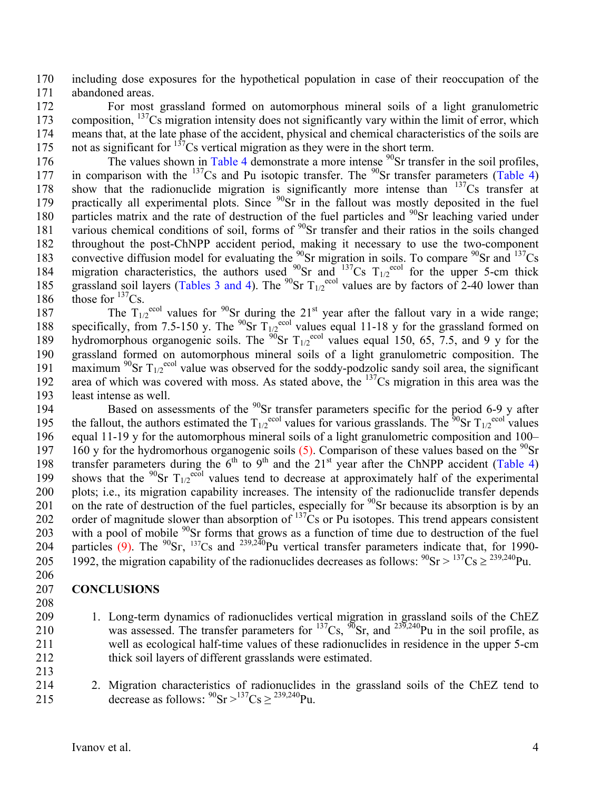170 including dose exposures for the hypothetical population in case of their reoccupation of the 171 abandoned areas.

172 For most grassland formed on automorphous mineral soils of a light granulometric 173 composition,  $137$ Cs migration intensity does not significantly vary within the limit of error, which 174 means that, at the late phase of the accident, physical and chemical characteristics of the soils are 175 not as significant for  $137$ Cs vertical migration as they were in the short term.

176 The values shown in Table 4 demonstrate a more intense  $90$ Sr transfer in the soil profiles, 177 in comparison with the  $137Cs$  and Pu isotopic transfer. The  $90Sr$  transfer parameters (Table 4) 178 show that the radionuclide migration is significantly more intense than  $137Cs$  transfer at 179 practically all experimental plots. Since  $90$ Sr in the fallout was mostly deposited in the fuel 180 particles matrix and the rate of destruction of the fuel particles and <sup>90</sup>Sr leaching varied under 181 various chemical conditions of soil, forms of  $90$ Sr transfer and their ratios in the soils changed 182 throughout the post-ChNPP accident period, making it necessary to use the two-component 183 convective diffusion model for evaluating the  $^{90}$ Sr migration in soils. To compare  $^{90}$ Sr and  $^{137}$ Cs 184 migration characteristics, the authors used  $^{90}$ Sr and  $^{137}$ Cs T<sub>1/2</sub><sup>ecol</sup> for the upper 5-cm thick 185 grassland soil layers (Tables 3 and 4). The <sup>90</sup>Sr  $T_{1/2}^{\text{ecol}}$  values are by factors of 2-40 lower than 186 those for  $137$ Cs.

187 The  $T_{1/2}^{ecol}$  values for <sup>90</sup>Sr during the 21<sup>st</sup> year after the fallout vary in a wide range; 188 specifically, from 7.5-150 y. The <sup>90</sup>Sr  $T_{1/2}^{\text{ceol}}$  values equal 11-18 y for the grassland formed on 189 hydromorphous organogenic soils. The <sup>90</sup>Sr  $T_{1/2}^{\text{ecol}}$  values equal 150, 65, 7.5, and 9 y for the 190 grassland formed on automorphous mineral soils of a light granulometric composition. The 191 maximum <sup>90</sup>Sr  $T_{1/2}^{\text{ecol}}$  value was observed for the soddy-podzolic sandy soil area, the significant 192 area of which was covered with moss. As stated above, the  $137Cs$  migration in this area was the 193 least intense as well.

194 Based on assessments of the  $90$ Sr transfer parameters specific for the period 6-9 y after 195 the fallout, the authors estimated the  $T_{1/2}^{e^{ccol}}$  values for various grasslands. The <sup>90</sup>Sr  $T_{1/2}^{e^{ccol}}$  values 196 equal 11-19 y for the automorphous mineral soils of a light granulometric composition and 100– 197 160 y for the hydromorhous organogenic soils (5). Comparison of these values based on the  $^{90}Sr$ 198 transfer parameters during the  $6<sup>th</sup>$  to 9<sup>th</sup> and the 21<sup>st</sup> year after the ChNPP accident (Table 4) 199 shows that the <sup>90</sup>Sr  $T_{1/2}^{\text{ecol}}$  values tend to decrease at approximately half of the experimental 200 plots; i.e., its migration capability increases. The intensity of the radionuclide transfer depends 201 on the rate of destruction of the fuel particles, especially for  $90$ Sr because its absorption is by an 202 order of magnitude slower than absorption of  $^{137}Cs$  or Pu isotopes. This trend appears consistent 203 with a pool of mobile  $90$ Sr forms that grows as a function of time due to destruction of the fuel 204 particles (9). The  $^{90}Sr$ ,  $^{137}Cs$  and  $^{239,240}Pu$  vertical transfer parameters indicate that, for 1990-205 1992, the migration capability of the radionuclides decreases as follows:  $^{90}Sr > ^{137}Cs \ge \frac{239,240}Pu$ . 206

## 207 **CONCLUSIONS**

- 208
- 209 1. Long-term dynamics of radionuclides vertical migration in grassland soils of the ChEZ 210 was assessed. The transfer parameters for <sup>137</sup>Cs,  $\frac{\%}{\%}$ Sr, and <sup>239,240</sup>Pu in the soil profile, as 211 well as ecological half-time values of these radionuclides in residence in the upper 5-cm 212 thick soil layers of different grasslands were estimated. 213
- 214 2. Migration characteristics of radionuclides in the grassland soils of the ChEZ tend to 215 decrease as follows:  ${}^{90}Sr > {}^{137}Cs \ge {}^{239,240}Pu$ .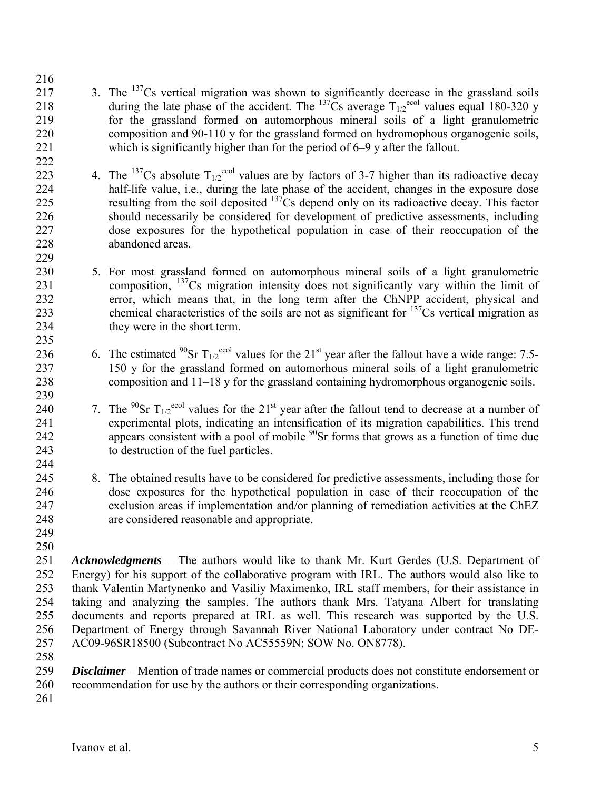- 216  $217$  3. The <sup>137</sup>Cs vertical migration was shown to significantly decrease in the grassland soils 218 during the late phase of the accident. The  $^{137}$ Cs average  $T_{1/2}^{e\text{col}}$  values equal 180-320 y 219 for the grassland formed on automorphous mineral soils of a light granulometric 220 composition and 90-110 y for the grassland formed on hydromophous organogenic soils, 221 which is significantly higher than for the period of 6–9 y after the fallout. 222
- 223 4. The <sup>137</sup>Cs absolute  $T_{1/2}^{ecol}$  values are by factors of 3-7 higher than its radioactive decay 224 half-life value, i.e., during the late phase of the accident, changes in the exposure dose  $225$  resulting from the soil deposited  $137$ Cs depend only on its radioactive decay. This factor 226 should necessarily be considered for development of predictive assessments, including 227 dose exposures for the hypothetical population in case of their reoccupation of the 228 abandoned areas. 229
- 230 5. For most grassland formed on automorphous mineral soils of a light granulometric 231 composition,  $137$ Cs migration intensity does not significantly vary within the limit of 232 error, which means that, in the long term after the ChNPP accident, physical and chemical characteristics of the soils are not as significant for  $137$ Cs vertical migration as 234 they were in the short term. 235
- 236 6. The estimated <sup>90</sup>Sr  $T_{1/2}^{\text{ecol}}$  values for the 21<sup>st</sup> year after the fallout have a wide range: 7.5-237 150 y for the grassland formed on automorhous mineral soils of a light granulometric 238 composition and 11–18 y for the grassland containing hydromorphous organogenic soils.
- 239 240 7. The <sup>90</sup>Sr T<sub>1/2</sub><sup>ecol</sup> values for the 21<sup>st</sup> year after the fallout tend to decrease at a number of 241 experimental plots, indicating an intensification of its migration capabilities. This trend 242 appears consistent with a pool of mobile  $90$ Sr forms that grows as a function of time due 243 to destruction of the fuel particles.
- 245 8. The obtained results have to be considered for predictive assessments, including those for 246 dose exposures for the hypothetical population in case of their reoccupation of the 247 exclusion areas if implementation and/or planning of remediation activities at the ChEZ 248 are considered reasonable and appropriate.
- 249 250

244

251 *Acknowledgments* – The authors would like to thank Mr. Kurt Gerdes (U.S. Department of 252 Energy) for his support of the collaborative program with IRL. The authors would also like to 253 thank Valentin Martynenko and Vasiliy Maximenko, IRL staff members, for their assistance in 254 taking and analyzing the samples. The authors thank Mrs. Tatyana Albert for translating 255 documents and reports prepared at IRL as well. This research was supported by the U.S. 256 Department of Energy through Savannah River National Laboratory under contract No DE-257 AC09-96SR18500 (Subcontract No AC55559N; SOW No. ON8778).

- 258
- 259 *Disclaimer*  Mention of trade names or commercial products does not constitute endorsement or 260 recommendation for use by the authors or their corresponding organizations.
- 261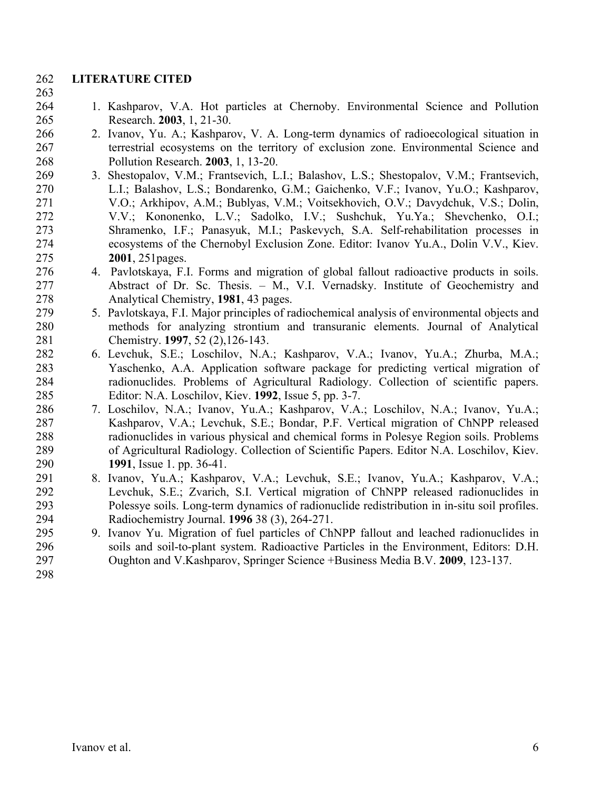## 262 **LITERATURE CITED**

### 263

- 264 1. Kashparov, V.A. Hot particles at Chernoby. Environmental Science and Pollution 265 Research. **2003**, 1, 21-30.
- 266 2. Ivanov, Yu. A.; Kashparov, V. A. Long-term dynamics of radioecological situation in 267 terrestrial ecosystems on the territory of exclusion zone. Environmental Science and 268 Pollution Research. **2003**, 1, 13-20.
- 269 3. Shestopalov, V.M.; Frantsevich, L.I.; Balashov, L.S.; Shestopalov, V.M.; Frantsevich, 270 L.І.; Balashov, L.S.; Bondarenko, G.M.; Gaichenko, V.F.; Ivanov, Yu.O.; Kashparov, 271 V.O.; Arkhipov, A.M.; Bublyas, V.M.; Voitsekhovich, O.V.; Davydchuk, V.S.; Dolin, 272 V.V.; Kononenko, L.V.; Sadolko, I.V.; Sushchuk, Yu.Ya.; Shevchenko, O.I.; 273 Shramenko, I.F.; Panasyuk, M.I.; Paskevych, S.A. Self-rehabilitation processes in 274 ecosystems of the Chernobyl Exclusion Zone. Editor: Ivanov Yu.A., Dolin V.V., Kiev. 275 **2001**, 251pages.
- 276 4. Pavlotskaya, F.I. Forms and migration of global fallout radioactive products in soils. 277 Abstract of Dr. Sc. Thesis. – M., V.I. Vernadsky. Institute of Geochemistry and 278 Analytical Chemistry, **1981**, 43 pages.
- 279 5. Pavlotskaya, F.I. Major principles of radiochemical analysis of environmental objects and 280 methods for analyzing strontium and transuranic elements. Journal of Analytical 281 Chemistry. **1997**, 52 (2),126-143.
- 282 6. Levchuk, S.E.; Loschilov, N.A.; Kashparov, V.A.; Ivanov, Yu.A.; Zhurba, M.A.; 283 Yaschenko, A.A. Application software package for predicting vertical migration of 284 radionuclides. Problems of Agricultural Radiology. Collection of scientific papers. 285 Editor: N.A. Loschilov, Kiev. **1992**, Issue 5, pp. 3-7.
- 286 7. Loschilov, N.A.; Ivanov, Yu.A.; Kashparov, V.A.; Loschilov, N.A.; Ivanov, Yu.A.; 287 Kashparov, V.A.; Levchuk, S.E.; Bondar, P.F. Vertical migration of ChNPP released 288 radionuclides in various physical and chemical forms in Polesye Region soils. Problems 289 of Agricultural Radiology. Collection of Scientific Papers. Editor N.A. Loschilov, Kiev. 290 **1991**, Issue 1. pp. 36-41.
- 291 8. Ivanov, Yu.A.; Kashparov, V.A.; Levchuk, S.E.; Ivanov, Yu.A.; Kashparov, V.A.; 292 Levchuk, S.E.; Zvarich, S.I. Vеrtical migration of ChNPP released radionuclides in 293 Polessye soils. Long-term dynamics of radionuclide redistribution in in-situ soil profiles. 294 Radiochemistry Journal. **1996** 38 (3), 264-271.
- 295 9. Ivanov Yu. Migration of fuel particles of ChNPP fallout and leached radionuclides in 296 soils and soil-to-plant system. Radioactive Particles in the Environment, Editors: D.H. 297 Oughton and V.Kashparov, Springer Science +Business Media B.V. **2009**, 123-137.

298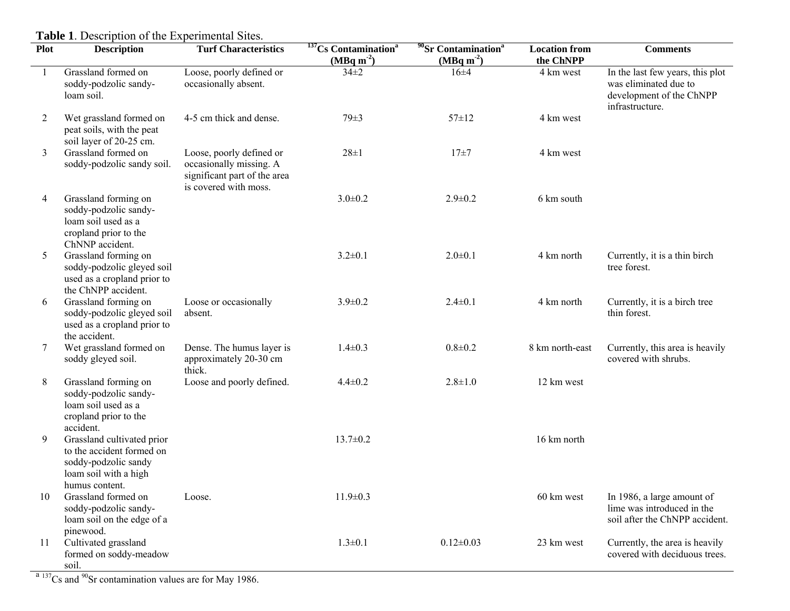| $(MBq m-2)$<br>$(MBq m-2)$<br>Grassland formed on<br>Loose, poorly defined or<br>$34 \pm 2$<br>16±4<br>4 km west<br>was eliminated due to<br>soddy-podzolic sandy-<br>occasionally absent.<br>loam soil.<br>infrastructure.<br>2<br>Wet grassland formed on<br>4-5 cm thick and dense.<br>$79 \pm 3$<br>$57 \pm 12$<br>4 km west<br>peat soils, with the peat<br>soil layer of 20-25 cm.<br>Grassland formed on<br>3<br>$28 + 1$<br>Loose, poorly defined or<br>$17 + 7$<br>4 km west<br>soddy-podzolic sandy soil.<br>occasionally missing. A<br>significant part of the area<br>is covered with moss.<br>$3.0 \pm 0.2$<br>6 km south<br>Grassland forming on<br>$2.9 \pm 0.2$<br>4<br>soddy-podzolic sandy-<br>loam soil used as a<br>cropland prior to the<br>ChNNP accident.<br>Grassland forming on<br>$3.2 \pm 0.1$<br>$2.0 \pm 0.1$<br>5<br>4 km north<br>soddy-podzolic gleyed soil<br>tree forest. | <b>Comments</b>                                                                            |
|-------------------------------------------------------------------------------------------------------------------------------------------------------------------------------------------------------------------------------------------------------------------------------------------------------------------------------------------------------------------------------------------------------------------------------------------------------------------------------------------------------------------------------------------------------------------------------------------------------------------------------------------------------------------------------------------------------------------------------------------------------------------------------------------------------------------------------------------------------------------------------------------------------------|--------------------------------------------------------------------------------------------|
|                                                                                                                                                                                                                                                                                                                                                                                                                                                                                                                                                                                                                                                                                                                                                                                                                                                                                                             | In the last few years, this plot<br>development of the ChNPP                               |
|                                                                                                                                                                                                                                                                                                                                                                                                                                                                                                                                                                                                                                                                                                                                                                                                                                                                                                             |                                                                                            |
|                                                                                                                                                                                                                                                                                                                                                                                                                                                                                                                                                                                                                                                                                                                                                                                                                                                                                                             |                                                                                            |
|                                                                                                                                                                                                                                                                                                                                                                                                                                                                                                                                                                                                                                                                                                                                                                                                                                                                                                             |                                                                                            |
| used as a cropland prior to<br>the ChNPP accident.                                                                                                                                                                                                                                                                                                                                                                                                                                                                                                                                                                                                                                                                                                                                                                                                                                                          | Currently, it is a thin birch                                                              |
| Grassland forming on<br>$3.9 \pm 0.2$<br>$2.4 \pm 0.1$<br>Loose or occasionally<br>4 km north<br>6<br>thin forest.<br>soddy-podzolic gleyed soil<br>absent.<br>used as a cropland prior to<br>the accident.                                                                                                                                                                                                                                                                                                                                                                                                                                                                                                                                                                                                                                                                                                 | Currently, it is a birch tree                                                              |
| Wet grassland formed on<br>Dense. The humus layer is<br>$1.4 \pm 0.3$<br>$0.8 + 0.2$<br>8 km north-east<br>7<br>approximately 20-30 cm<br>covered with shrubs.<br>soddy gleyed soil.<br>thick.                                                                                                                                                                                                                                                                                                                                                                                                                                                                                                                                                                                                                                                                                                              | Currently, this area is heavily                                                            |
| Loose and poorly defined.<br>8<br>Grassland forming on<br>$4.4 \pm 0.2$<br>$2.8 \pm 1.0$<br>12 km west<br>soddy-podzolic sandy-<br>loam soil used as a<br>cropland prior to the<br>accident.                                                                                                                                                                                                                                                                                                                                                                                                                                                                                                                                                                                                                                                                                                                |                                                                                            |
| 9<br>Grassland cultivated prior<br>$13.7 \pm 0.2$<br>16 km north<br>to the accident formed on<br>soddy-podzolic sandy<br>loam soil with a high<br>humus content.                                                                                                                                                                                                                                                                                                                                                                                                                                                                                                                                                                                                                                                                                                                                            |                                                                                            |
| $11.9 \pm 0.3$<br>10<br>Grassland formed on<br>60 km west<br>Loose.<br>soddy-podzolic sandy-<br>loam soil on the edge of a<br>pinewood.                                                                                                                                                                                                                                                                                                                                                                                                                                                                                                                                                                                                                                                                                                                                                                     | In 1986, a large amount of<br>lime was introduced in the<br>soil after the ChNPP accident. |
| Cultivated grassland<br>$1.3 \pm 0.1$<br>$0.12 \pm 0.03$<br>23 km west<br>11<br>formed on soddy-meadow<br>soil.<br>$\frac{a_{137}}{s}$ Cs and $\frac{90}{s}$ Sr contamination values are for May 1986.                                                                                                                                                                                                                                                                                                                                                                                                                                                                                                                                                                                                                                                                                                      | Currently, the area is heavily<br>covered with deciduous trees.                            |

**Table 1**. Description of the Experimental Sites.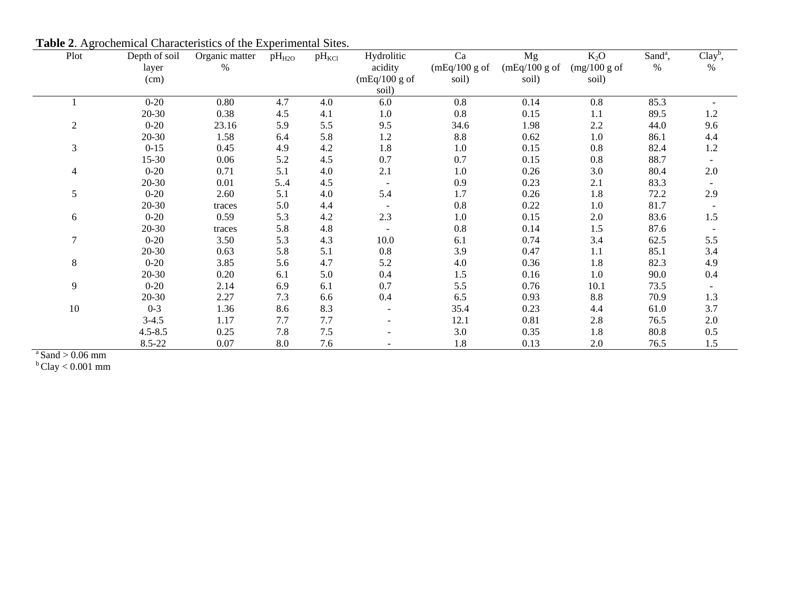| Plot           | Depth of soil | Organic matter | $pH_{H2O}$ | $pH_{\text{KCl}}$ | Hydrolitic    | Ca            | Mg            | $K_2O$         | Sand <sup>a</sup> , | $Clayb$ ,                |
|----------------|---------------|----------------|------------|-------------------|---------------|---------------|---------------|----------------|---------------------|--------------------------|
|                | layer         | $\%$           |            |                   | acidity       | (mEq/100 g of | (mEq/100 g of | $(mg/100 g$ of | $\%$                | $\%$                     |
|                | (cm)          |                |            |                   | (mEq/100 g of | soil)         | soil)         | soil)          |                     |                          |
|                |               |                |            |                   | soil)         |               |               |                |                     |                          |
|                | $0 - 20$      | 0.80           | 4.7        | 4.0               | 6.0           | 0.8           | 0.14          | 0.8            | 85.3                |                          |
|                | 20-30         | 0.38           | 4.5        | 4.1               | $1.0\,$       | 0.8           | 0.15          | 1.1            | 89.5                | 1.2                      |
| $\overline{2}$ | $0 - 20$      | 23.16          | 5.9        | 5.5               | 9.5           | 34.6          | 1.98          | 2.2            | 44.0                | 9.6                      |
|                | 20-30         | 1.58           | 6.4        | 5.8               | 1.2           | 8.8           | 0.62          | $1.0\,$        | 86.1                | 4.4                      |
| $\mathfrak{Z}$ | $0 - 15$      | 0.45           | 4.9        | 4.2               | 1.8           | 1.0           | 0.15          | 0.8            | 82.4                | $1.2\,$                  |
|                | 15-30         | 0.06           | 5.2        | 4.5               | 0.7           | 0.7           | 0.15          | 0.8            | 88.7                |                          |
| $\overline{4}$ | $0 - 20$      | 0.71           | 5.1        | 4.0               | 2.1           | 1.0           | 0.26          | $3.0\,$        | 80.4                | $2.0\,$                  |
|                | 20-30         | 0.01           | 54         | 4.5               |               | 0.9           | 0.23          | 2.1            | 83.3                |                          |
| 5              | $0 - 20$      | 2.60           | 5.1        | 4.0               | 5.4           | 1.7           | 0.26          | 1.8            | 72.2                | 2.9                      |
|                | $20 - 30$     | traces         | 5.0        | 4.4               |               | 0.8           | 0.22          | $1.0\,$        | 81.7                | $\overline{\phantom{a}}$ |
| 6              | $0 - 20$      | 0.59           | 5.3        | 4.2               | 2.3           | 1.0           | 0.15          | $2.0\,$        | 83.6                | $1.5\,$                  |
|                | 20-30         | traces         | 5.8        | 4.8               | $\sim$        | $0.8\,$       | 0.14          | 1.5            | 87.6                |                          |
| $\tau$         | $0 - 20$      | 3.50           | 5.3        | 4.3               | 10.0          | 6.1           | 0.74          | 3.4            | 62.5                | 5.5                      |
|                | 20-30         | 0.63           | 5.8        | 5.1               | 0.8           | 3.9           | 0.47          | 1.1            | 85.1                | 3.4                      |
| $8\,$          | $0 - 20$      | 3.85           | 5.6        | 4.7               | 5.2           | 4.0           | 0.36          | 1.8            | 82.3                | 4.9                      |
|                | $20 - 30$     | 0.20           | 6.1        | 5.0               | 0.4           | 1.5           | 0.16          | $1.0\,$        | 90.0                | 0.4                      |
| 9              | $0 - 20$      | 2.14           | 6.9        | 6.1               | 0.7           | 5.5           | 0.76          | 10.1           | 73.5                |                          |
|                | $20 - 30$     | 2.27           | 7.3        | 6.6               | 0.4           | 6.5           | 0.93          | 8.8            | 70.9                | 1.3                      |
| 10             | $0 - 3$       | 1.36           | 8.6        | 8.3               |               | 35.4          | 0.23          | 4.4            | 61.0                | 3.7                      |
|                | $3-4.5$       | 1.17           | 7.7        | 7.7               |               | 12.1          | 0.81          | 2.8            | 76.5                | 2.0                      |
|                | $4.5 - 8.5$   | 0.25           | 7.8        | 7.5               |               | 3.0           | 0.35          | 1.8            | 80.8                | 0.5                      |
|                | 8.5-22        | 0.07           | 8.0        | 7.6               |               | 1.8           | 0.13          | 2.0            | 76.5                | 1.5                      |

**Table 2**. Agrochemical Characteristics of the Experimental Sites.

 $a<sup>a</sup>$  Sand  $> 0.06$  mm

 $b$  Clay  $< 0.001$  mm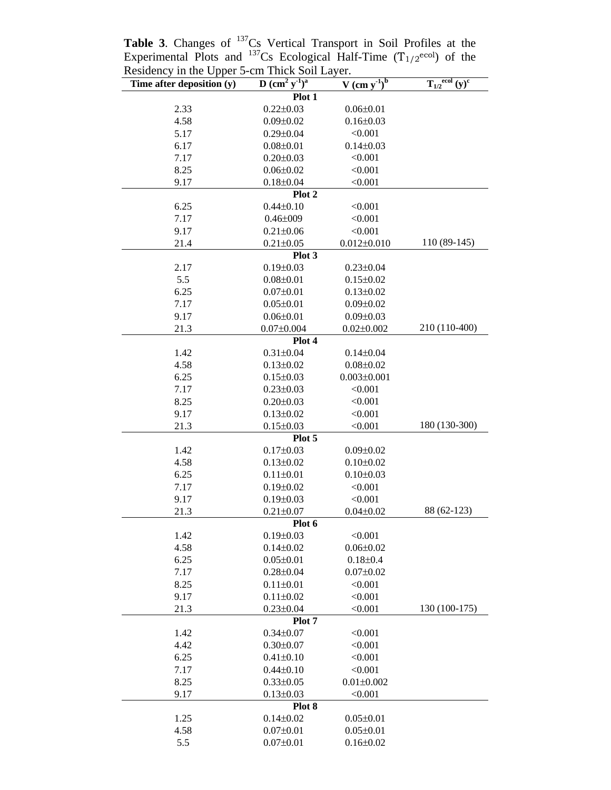| Residency in the Upper 3-cm Thick Soil Layer. |                                              |                            |                                                    |
|-----------------------------------------------|----------------------------------------------|----------------------------|----------------------------------------------------|
| Time after deposition $(y)$                   | $D$ (cm <sup>2</sup> $v^{-1}$ ) <sup>a</sup> | $\frac{V (cm y^{1})^b}{ }$ | ecol<br>$(y)^{\overline{c}}$<br>$\mathbf{T}_{1/2}$ |
|                                               | Plot 1                                       |                            |                                                    |
| 2.33                                          | $0.22 \pm 0.03$                              | $0.06 \pm 0.01$            |                                                    |
| 4.58                                          | $0.09 \pm 0.02$                              | $0.16 \pm 0.03$            |                                                    |
| 5.17                                          | $0.29 \pm 0.04$                              | < 0.001                    |                                                    |
| 6.17                                          | $0.08 \pm 0.01$                              | $0.14 \pm 0.03$            |                                                    |
| 7.17                                          | $0.20 \pm 0.03$                              | < 0.001                    |                                                    |
| 8.25                                          | $0.06 \pm 0.02$                              | < 0.001                    |                                                    |
| 9.17                                          | $0.18 \pm 0.04$                              | < 0.001                    |                                                    |
|                                               | Plot 2                                       |                            |                                                    |
| 6.25                                          | $0.44 \pm 0.10$                              | < 0.001                    |                                                    |
| 7.17                                          | $0.46 \pm 009$                               | < 0.001                    |                                                    |
| 9.17                                          | $0.21 \pm 0.06$                              | < 0.001                    |                                                    |
| 21.4                                          | $0.21 \pm 0.05$                              | $0.012 \pm 0.010$          | $110(89-145)$                                      |
|                                               | Plot 3                                       |                            |                                                    |
| 2.17                                          | $0.19 \pm 0.03$                              | $0.23 \pm 0.04$            |                                                    |
| 5.5                                           | $0.08 \pm 0.01$                              | $0.15 \pm 0.02$            |                                                    |
| 6.25                                          | $0.07 \pm 0.01$                              | $0.13 \pm 0.02$            |                                                    |
| 7.17                                          | $0.05 \pm 0.01$                              | $0.09 \pm 0.02$            |                                                    |
| 9.17                                          | $0.06 \pm 0.01$                              | $0.09 \pm 0.03$            |                                                    |
| 21.3                                          | $0.07 \pm 0.004$                             | $0.02 \pm 0.002$           | 210 (110-400)                                      |
|                                               | Plot 4                                       |                            |                                                    |
| 1.42                                          | $0.31 \pm 0.04$                              | $0.14 \pm 0.04$            |                                                    |
| 4.58                                          | $0.13 \pm 0.02$                              | $0.08 \pm 0.02$            |                                                    |
| 6.25                                          | $0.15 \pm 0.03$                              | $0.003 \pm 0.001$          |                                                    |
| 7.17                                          | $0.23 \pm 0.03$                              | < 0.001                    |                                                    |
| 8.25                                          | $0.20 \pm 0.03$                              | < 0.001                    |                                                    |
| 9.17                                          | $0.13 \pm 0.02$                              | < 0.001                    |                                                    |
| 21.3                                          | $0.15 \pm 0.03$                              | < 0.001                    | 180 (130-300)                                      |
|                                               | Plot 5                                       |                            |                                                    |
| 1.42                                          | $0.17 \pm 0.03$                              | $0.09 \pm 0.02$            |                                                    |
| 4.58                                          | $0.13 \pm 0.02$                              | $0.10 \pm 0.02$            |                                                    |
| 6.25                                          | $0.11 \pm 0.01$                              | $0.10 \pm 0.03$            |                                                    |
| 7.17                                          | $0.19 \pm 0.02$                              | < 0.001                    |                                                    |
| 9.17                                          | $0.19 \pm 0.03$                              | < 0.001                    |                                                    |
| 21.3                                          | $0.21 \pm 0.07$                              | $0.04 \pm 0.02$            | 88 (62-123)                                        |
|                                               | Plot 6                                       |                            |                                                    |
| 1.42                                          | $0.19 \pm 0.03$                              | < 0.001                    |                                                    |
| 4.58                                          | $0.14 \pm 0.02$                              | $0.06 \pm 0.02$            |                                                    |
| 6.25                                          | $0.05 \pm 0.01$                              | $0.18 \pm 0.4$             |                                                    |
| 7.17                                          | $0.28 \pm 0.04$                              | $0.07 \pm 0.02$            |                                                    |
| 8.25                                          | $0.11 \pm 0.01$                              | < 0.001                    |                                                    |
| 9.17                                          | $0.11 \pm 0.02$                              | < 0.001                    |                                                    |
| 21.3                                          | $0.23 \pm 0.04$                              | < 0.001                    | 130 (100-175)                                      |
|                                               | Plot 7                                       |                            |                                                    |
| 1.42                                          | $0.34 \pm 0.07$                              | < 0.001                    |                                                    |
| 4.42                                          | $0.30 \pm 0.07$                              | < 0.001                    |                                                    |
| 6.25                                          | $0.41 \pm 0.10$                              | < 0.001                    |                                                    |
| 7.17                                          | $0.44 \pm 0.10$                              | < 0.001                    |                                                    |
| 8.25                                          | $0.33 \pm 0.05$                              | $0.01 \pm 0.002$           |                                                    |
| 9.17                                          | $0.13 \pm 0.03$                              | < 0.001                    |                                                    |
|                                               | Plot 8                                       |                            |                                                    |
| 1.25                                          | $0.14 \pm 0.02$                              | $0.05 \pm 0.01$            |                                                    |
| 4.58                                          | $0.07 \pm 0.01$                              | $0.05 \pm 0.01$            |                                                    |
| 5.5                                           | $0.07 \pm 0.01$                              | $0.16 \pm 0.02$            |                                                    |

Table 3. Changes of <sup>137</sup>Cs Vertical Transport in Soil Profiles at the Experimental Plots and  $^{137}Cs$  Ecological Half-Time (T<sub>1/2</sub>ecol) of the Residency in the Upper 5-cm Thick Soil Layer.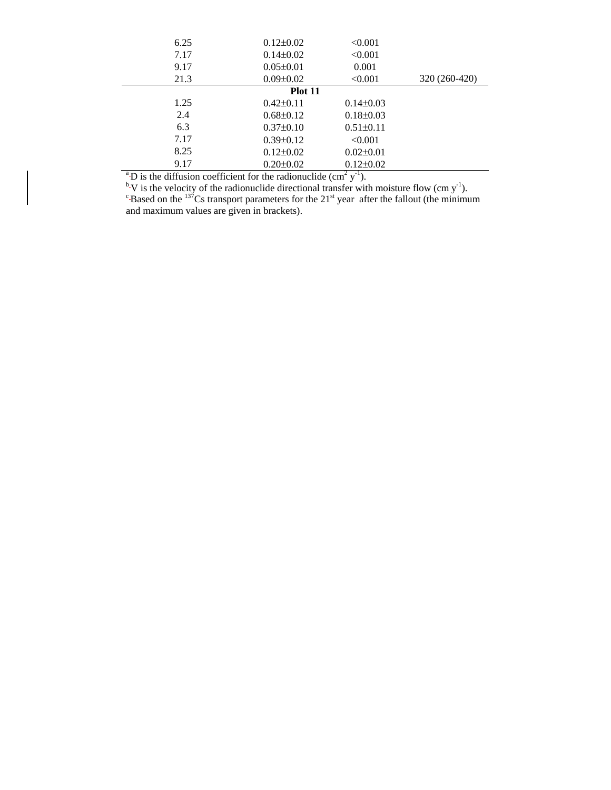| 6.25                                                                                                | $0.12 \pm 0.02$ | < 0.001         |               |  |  |
|-----------------------------------------------------------------------------------------------------|-----------------|-----------------|---------------|--|--|
| 7.17                                                                                                | $0.14 \pm 0.02$ | < 0.001         |               |  |  |
| 9.17                                                                                                | $0.05 \pm 0.01$ | 0.001           |               |  |  |
| 21.3                                                                                                | $0.09 \pm 0.02$ | < 0.001         | 320 (260-420) |  |  |
|                                                                                                     | Plot 11         |                 |               |  |  |
| 1.25                                                                                                | $0.42 \pm 0.11$ | $0.14\pm0.03$   |               |  |  |
| 2.4                                                                                                 | $0.68 \pm 0.12$ | $0.18 \pm 0.03$ |               |  |  |
| 6.3                                                                                                 | $0.37 \pm 0.10$ | $0.51 \pm 0.11$ |               |  |  |
| 7.17                                                                                                | $0.39 \pm 0.12$ | < 0.001         |               |  |  |
| 8.25                                                                                                | $0.12 \pm 0.02$ | $0.02 \pm 0.01$ |               |  |  |
| 9.17                                                                                                | $0.20 \pm 0.02$ | $0.12 \pm 0.02$ |               |  |  |
| <sup>a</sup> D is the diffusion coefficient for the radionuclide (cm <sup>2</sup> y <sup>-1</sup> ) |                 |                 |               |  |  |

<sup>a</sup>D is the diffusion coefficient for the radionuclide (cm<sup>2</sup> y<sup>-1</sup>).<br><sup>b</sup>V is the velocity of the radionuclide directional transfer with moisture flow (cm y<sup>-1</sup>). <sup>c</sup>Based on the <sup>137</sup>Cs transport parameters for the 21<sup>st</sup> year after the fallout (the minimum and maximum values are given in brackets).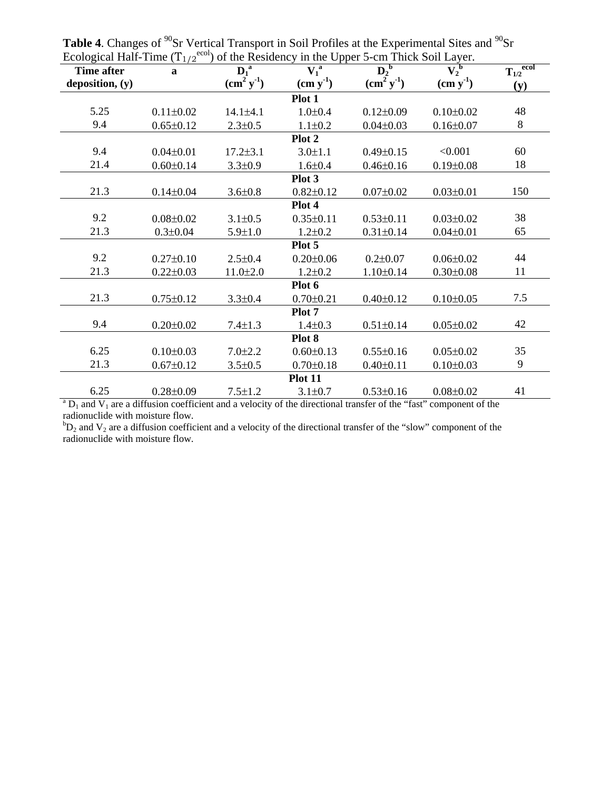| $L_{\rm COIO}$ and $L_{\rm HIR}$ and $L_{\rm H1/2}$<br><b>Time after</b>                                                        | $\mathbf{a}$    | ) of the residency in the epper $\beta$ can Threw bon Easer.<br>$T_{1/2}$ <sup>ecol</sup><br>$D_2^{\ b}$<br>$D_1^a$<br>$\overline{V_1}^a$<br>$V_2^{\ b}$ |                 |                 |                 |     |  |
|---------------------------------------------------------------------------------------------------------------------------------|-----------------|----------------------------------------------------------------------------------------------------------------------------------------------------------|-----------------|-----------------|-----------------|-----|--|
| deposition, (y)                                                                                                                 |                 | $(cm2 y-1)$                                                                                                                                              | $(cm y-1)$      | $(cm2 y-1)$     | $(cm y-1)$      | (y) |  |
| Plot 1                                                                                                                          |                 |                                                                                                                                                          |                 |                 |                 |     |  |
| 5.25                                                                                                                            | $0.11 \pm 0.02$ | $14.1 \pm 4.1$                                                                                                                                           | $1.0 \pm 0.4$   | $0.12 \pm 0.09$ | $0.10 \pm 0.02$ | 48  |  |
| 9.4                                                                                                                             | $0.65 \pm 0.12$ | $2.3 \pm 0.5$                                                                                                                                            | $1.1 \pm 0.2$   | $0.04 \pm 0.03$ | $0.16 \pm 0.07$ | 8   |  |
|                                                                                                                                 |                 |                                                                                                                                                          | Plot 2          |                 |                 |     |  |
| 9.4                                                                                                                             | $0.04 \pm 0.01$ | $17.2 \pm 3.1$                                                                                                                                           | $3.0 \pm 1.1$   | $0.49 \pm 0.15$ | < 0.001         | 60  |  |
| 21.4                                                                                                                            | $0.60 \pm 0.14$ | $3.3 \pm 0.9$                                                                                                                                            | $1.6 \pm 0.4$   | $0.46 \pm 0.16$ | $0.19 \pm 0.08$ | 18  |  |
|                                                                                                                                 |                 |                                                                                                                                                          | Plot 3          |                 |                 |     |  |
| 21.3                                                                                                                            | $0.14 \pm 0.04$ | $3.6 \pm 0.8$                                                                                                                                            | $0.82 \pm 0.12$ | $0.07 \pm 0.02$ | $0.03 \pm 0.01$ | 150 |  |
|                                                                                                                                 |                 |                                                                                                                                                          | Plot 4          |                 |                 |     |  |
| 9.2                                                                                                                             | $0.08 \pm 0.02$ | $3.1 \pm 0.5$                                                                                                                                            | $0.35 \pm 0.11$ | $0.53 \pm 0.11$ | $0.03 \pm 0.02$ | 38  |  |
| 21.3                                                                                                                            | $0.3 \pm 0.04$  | $5.9 \pm 1.0$                                                                                                                                            | $1.2 \pm 0.2$   | $0.31 \pm 0.14$ | $0.04 \pm 0.01$ | 65  |  |
|                                                                                                                                 |                 |                                                                                                                                                          | Plot 5          |                 |                 |     |  |
| 9.2                                                                                                                             | $0.27 \pm 0.10$ | $2.5 \pm 0.4$                                                                                                                                            | $0.20 \pm 0.06$ | $0.2 \pm 0.07$  | $0.06 \pm 0.02$ | 44  |  |
| 21.3                                                                                                                            | $0.22 \pm 0.03$ | $11.0 \pm 2.0$                                                                                                                                           | $1.2 \pm 0.2$   | $1.10 \pm 0.14$ | $0.30 \pm 0.08$ | 11  |  |
| Plot 6                                                                                                                          |                 |                                                                                                                                                          |                 |                 |                 |     |  |
| 21.3                                                                                                                            | $0.75 \pm 0.12$ | $3.3 \pm 0.4$                                                                                                                                            | $0.70 \pm 0.21$ | $0.40 \pm 0.12$ | $0.10 \pm 0.05$ | 7.5 |  |
| Plot 7                                                                                                                          |                 |                                                                                                                                                          |                 |                 |                 |     |  |
| 9.4                                                                                                                             | $0.20 \pm 0.02$ | $7.4 \pm 1.3$                                                                                                                                            | $1.4 \pm 0.3$   | $0.51 \pm 0.14$ | $0.05 \pm 0.02$ | 42  |  |
| Plot 8                                                                                                                          |                 |                                                                                                                                                          |                 |                 |                 |     |  |
| 6.25                                                                                                                            | $0.10 \pm 0.03$ | $7.0 \pm 2.2$                                                                                                                                            | $0.60 \pm 0.13$ | $0.55 \pm 0.16$ | $0.05 \pm 0.02$ | 35  |  |
| 21.3                                                                                                                            | $0.67 \pm 0.12$ | $3.5 \pm 0.5$                                                                                                                                            | $0.70 \pm 0.18$ | $0.40 \pm 0.11$ | $0.10 \pm 0.03$ | 9   |  |
| <b>Plot 11</b>                                                                                                                  |                 |                                                                                                                                                          |                 |                 |                 |     |  |
| 6.25                                                                                                                            | $0.28 \pm 0.09$ | $7.5 \pm 1.2$                                                                                                                                            | $3.1 \pm 0.7$   | $0.53 \pm 0.16$ | $0.08 \pm 0.02$ | 41  |  |
| ${}^{a}D_{1}$ and $V_{1}$ are a diffusion coefficient and a velocity of the directional transfer of the "fast" component of the |                 |                                                                                                                                                          |                 |                 |                 |     |  |

**Table 4**. Changes of <sup>90</sup>Sr Vertical Transport in Soil Profiles at the Experimental Sites and <sup>90</sup>Sr Ecological Half-Time  $(T_{1/2}^{\text{ecol}})$  of the Residency in the Upper 5-cm Thick Soil Layer.

radionuclide with moisture flow.

 ${}^bD_2$  and  $V_2$  are a diffusion coefficient and a velocity of the directional transfer of the "slow" component of the radionuclide with moisture flow.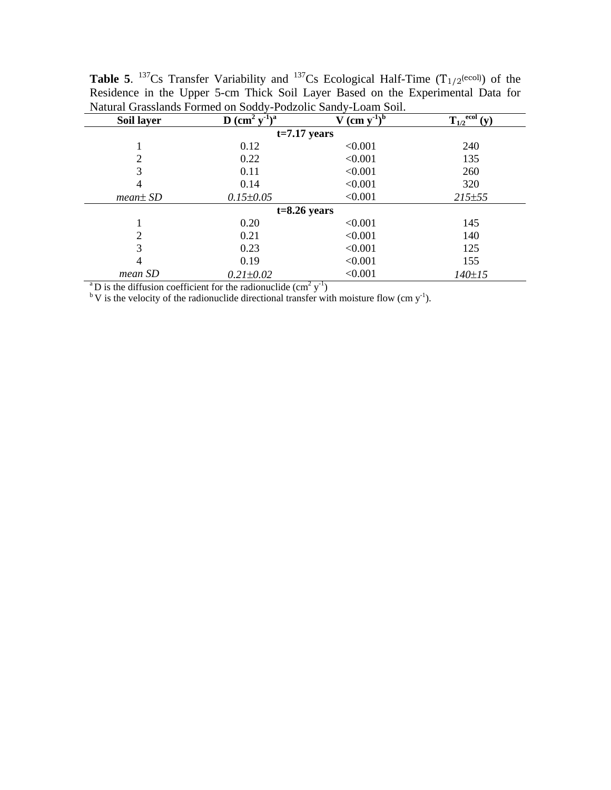| Soil layer     | D $\rm \left(cm^2\ v^2\right)^{\overline{a}}$ | $V$ (cm $y^{-1}$ ) <sup>b</sup> | $\underline{T_{1/2}}^{\text{ecol}}(\mathbf{v})$ |  |  |  |  |
|----------------|-----------------------------------------------|---------------------------------|-------------------------------------------------|--|--|--|--|
| $t=7.17$ years |                                               |                                 |                                                 |  |  |  |  |
|                | 0.12                                          | < 0.001                         | 240                                             |  |  |  |  |
|                | 0.22                                          | < 0.001                         | 135                                             |  |  |  |  |
| 3              | 0.11                                          | < 0.001                         | 260                                             |  |  |  |  |
| 4              | 0.14                                          | < 0.001                         | 320                                             |  |  |  |  |
| $mean \pm SD$  | $0.15 \pm 0.05$                               | < 0.001                         | 215±55                                          |  |  |  |  |
| $t=8.26$ years |                                               |                                 |                                                 |  |  |  |  |
|                | 0.20                                          | < 0.001                         | 145                                             |  |  |  |  |
| 2              | 0.21                                          | < 0.001                         | 140                                             |  |  |  |  |
| 3              | 0.23                                          | < 0.001                         | 125                                             |  |  |  |  |
| 4              | 0.19                                          | < 0.001                         | 155                                             |  |  |  |  |
| mean SD        | $0.21 \pm 0.02$                               | < 0.001                         | $140 \pm 15$                                    |  |  |  |  |

**Table 5.** <sup>137</sup>Cs Transfer Variability and <sup>137</sup>Cs Ecological Half-Time (T<sub>1/2</sub>(ecol)) of the Residence in the Upper 5-cm Thick Soil Layer Based on the Experimental Data for Natural Grasslands Formed on Soddy-Podzolic Sandy-Loam Soil.

<sup>a</sup>D is the diffusion coefficient for the radionuclide (cm<sup>2</sup> y<sup>-1</sup>)<br><sup>b</sup>V is the velocity of the radionuclide directional transfer with moisture flow (cm y<sup>-1</sup>).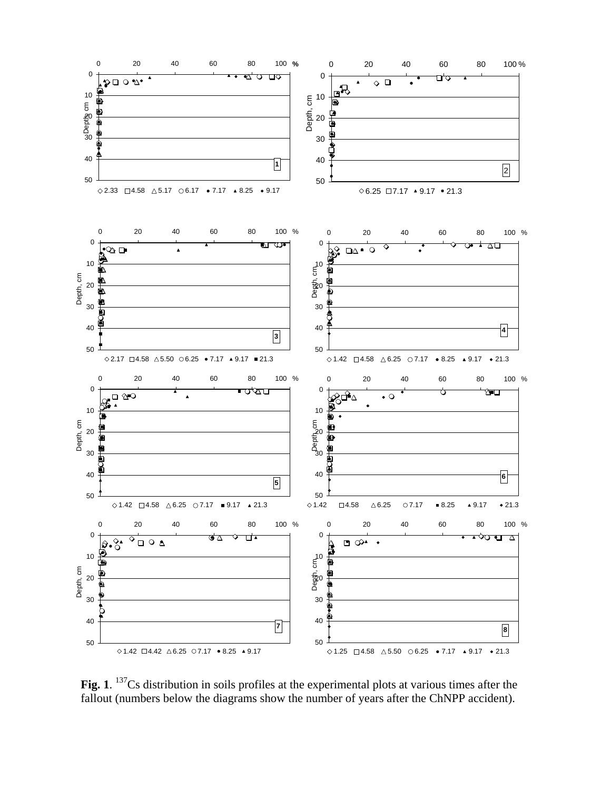

Fig. 1. <sup>137</sup>Cs distribution in soils profiles at the experimental plots at various times after the fallout (numbers below the diagrams show the number of years after the ChNPP accident).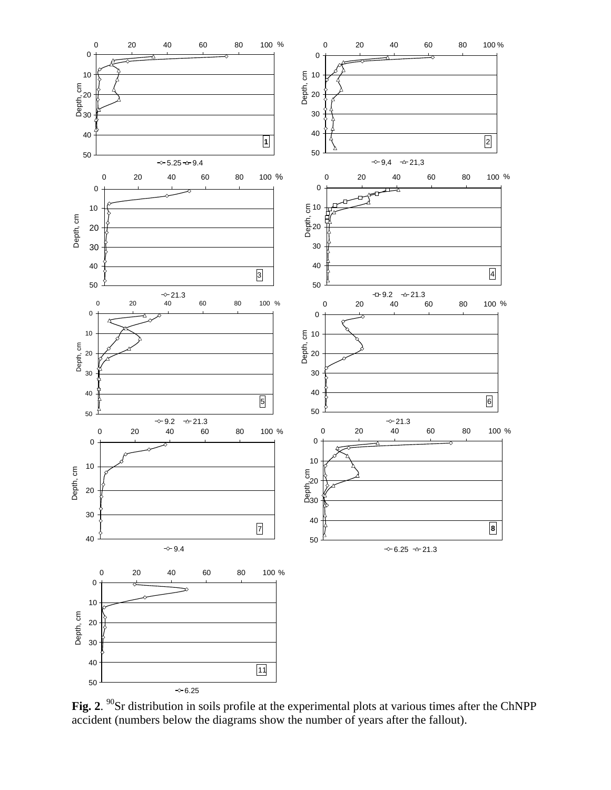

Fig. 2. <sup>90</sup>Sr distribution in soils profile at the experimental plots at various times after the ChNPP accident (numbers below the diagrams show the number of years after the fallout).